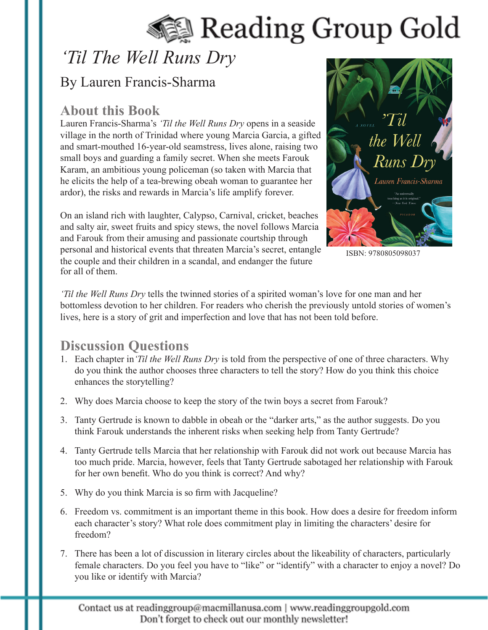# Reading Group Gold

## *'Til The Well Runs Dry*

## By Lauren Francis-Sharma

## **About this Book**

Lauren Francis-Sharma's *'Til the Well Runs Dry* opens in a seaside village in the north of Trinidad where young Marcia Garcia, a gifted and smart-mouthed 16-year-old seamstress, lives alone, raising two small boys and guarding a family secret. When she meets Farouk Karam, an ambitious young policeman (so taken with Marcia that he elicits the help of a tea-brewing obeah woman to guarantee her ardor), the risks and rewards in Marcia's life amplify forever.

On an island rich with laughter, Calypso, Carnival, cricket, beaches and salty air, sweet fruits and spicy stews, the novel follows Marcia and Farouk from their amusing and passionate courtship through personal and historical events that threaten Marcia's secret, entangle the couple and their children in a scandal, and endanger the future for all of them.



ISBN: 9780805098037

*'Til the Well Runs Dry* tells the twinned stories of a spirited woman's love for one man and her bottomless devotion to her children. For readers who cherish the previously untold stories of women's lives, here is a story of grit and imperfection and love that has not been told before.

## **Discussion Questions**

- 1. Each chapter in*'Til the Well Runs Dry* is told from the perspective of one of three characters. Why do you think the author chooses three characters to tell the story? How do you think this choice enhances the storytelling?
- 2. Why does Marcia choose to keep the story of the twin boys a secret from Farouk?
- 3. Tanty Gertrude is known to dabble in obeah or the "darker arts," as the author suggests. Do you think Farouk understands the inherent risks when seeking help from Tanty Gertrude?
- 4. Tanty Gertrude tells Marcia that her relationship with Farouk did not work out because Marcia has too much pride. Marcia, however, feels that Tanty Gertrude sabotaged her relationship with Farouk for her own benefit. Who do you think is correct? And why?
- 5. Why do you think Marcia is so firm with Jacqueline?
- 6. Freedom vs. commitment is an important theme in this book. How does a desire for freedom inform each character's story? What role does commitment play in limiting the characters' desire for freedom?
- 7. There has been a lot of discussion in literary circles about the likeability of characters, particularly female characters. Do you feel you have to "like" or "identify" with a character to enjoy a novel? Do you like or identify with Marcia?

Contact us at readinggroup@macmillanusa.com | www.readinggroupgold.com Don't forget to check out our monthly newsletter!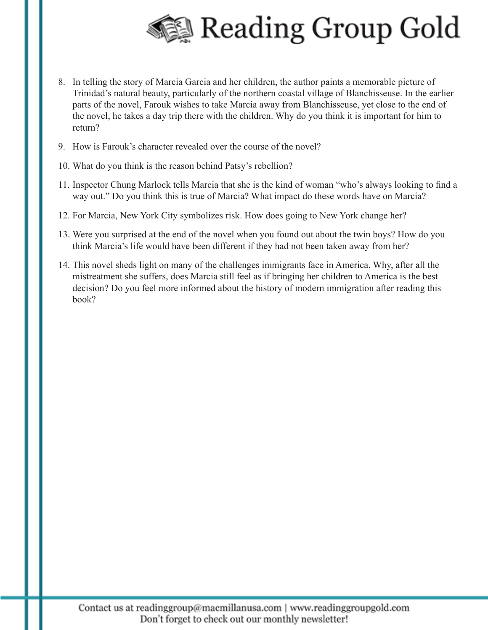

- 8. In telling the story of Marcia Garcia and her children, the author paints a memorable picture of Trinidad's natural beauty, particularly of the northern coastal village of Blanchisseuse. In the earlier parts of the novel, Farouk wishes to take Marcia away from Blanchisseuse, yet close to the end of the novel, he takes a day trip there with the children. Why do you think it is important for him to return?
- 9. How is Farouk's character revealed over the course of the novel?
- 10. What do you think is the reason behind Patsy's rebellion?
- 11. Inspector Chung Marlock tells Marcia that she is the kind of woman "who's always looking to find a way out." Do you think this is true of Marcia? What impact do these words have on Marcia?
- 12. For Marcia, New York City symbolizes risk. How does going to New York change her?
- 13. Were you surprised at the end of the novel when you found out about the twin boys? How do you think Marcia's life would have been different if they had not been taken away from her?
- 14. This novel sheds light on many of the challenges immigrants face in America. Why, after all the mistreatment she suffers, does Marcia still feel as if bringing her children to America is the best decision? Do you feel more informed about the history of modern immigration after reading this book?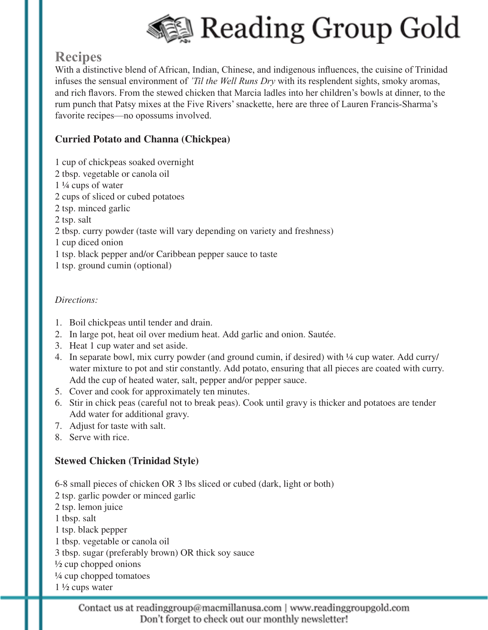

## **Recipes**

With a distinctive blend of African, Indian, Chinese, and indigenous influences, the cuisine of Trinidad infuses the sensual environment of *'Til the Well Runs Dry* with its resplendent sights, smoky aromas, and rich flavors. From the stewed chicken that Marcia ladles into her children's bowls at dinner, to the rum punch that Patsy mixes at the Five Rivers' snackette, here are three of Lauren Francis-Sharma's favorite recipes—no opossums involved.

#### **Curried Potato and Channa (Chickpea)**

- 1 cup of chickpeas soaked overnight
- 2 tbsp. vegetable or canola oil
- 1 ¼ cups of water
- 2 cups of sliced or cubed potatoes
- 2 tsp. minced garlic
- 2 tsp. salt
- 2 tbsp. curry powder (taste will vary depending on variety and freshness)
- 1 cup diced onion
- 1 tsp. black pepper and/or Caribbean pepper sauce to taste
- 1 tsp. ground cumin (optional)

#### *Directions:*

- 1. Boil chickpeas until tender and drain.
- 2. In large pot, heat oil over medium heat. Add garlic and onion. Sautée.
- 3. Heat 1 cup water and set aside.
- 4. In separate bowl, mix curry powder (and ground cumin, if desired) with  $\frac{1}{4}$  cup water. Add curry/ water mixture to pot and stir constantly. Add potato, ensuring that all pieces are coated with curry. Add the cup of heated water, salt, pepper and/or pepper sauce.
- 5. Cover and cook for approximately ten minutes.
- 6. Stir in chick peas (careful not to break peas). Cook until gravy is thicker and potatoes are tender Add water for additional gravy.
- 7. Adjust for taste with salt.
- 8. Serve with rice.

#### **Stewed Chicken (Trinidad Style)**

- 6-8 small pieces of chicken OR 3 lbs sliced or cubed (dark, light or both)
- 2 tsp. garlic powder or minced garlic
- 2 tsp. lemon juice
- 1 tbsp. salt
- 1 tsp. black pepper
- 1 tbsp. vegetable or canola oil
- 3 tbsp. sugar (preferably brown) OR thick soy sauce
- $\frac{1}{2}$  cup chopped onions
- $\frac{1}{4}$  cup chopped tomatoes
- 1 ½ cups water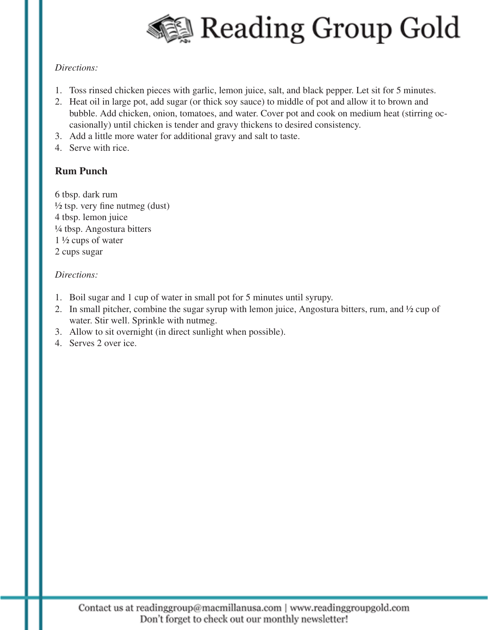

#### *Directions:*

- 1. Toss rinsed chicken pieces with garlic, lemon juice, salt, and black pepper. Let sit for 5 minutes.
- 2. Heat oil in large pot, add sugar (or thick soy sauce) to middle of pot and allow it to brown and bubble. Add chicken, onion, tomatoes, and water. Cover pot and cook on medium heat (stirring occasionally) until chicken is tender and gravy thickens to desired consistency.
- 3. Add a little more water for additional gravy and salt to taste.
- 4. Serve with rice.

#### **Rum Punch**

6 tbsp. dark rum  $\frac{1}{2}$  tsp. very fine nutmeg (dust) 4 tbsp. lemon juice ¼ tbsp. Angostura bitters  $1\frac{1}{2}$  cups of water 2 cups sugar

#### *Directions:*

- 1. Boil sugar and 1 cup of water in small pot for 5 minutes until syrupy.
- 2. In small pitcher, combine the sugar syrup with lemon juice, Angostura bitters, rum, and ½ cup of water. Stir well. Sprinkle with nutmeg.
- 3. Allow to sit overnight (in direct sunlight when possible).
- 4. Serves 2 over ice.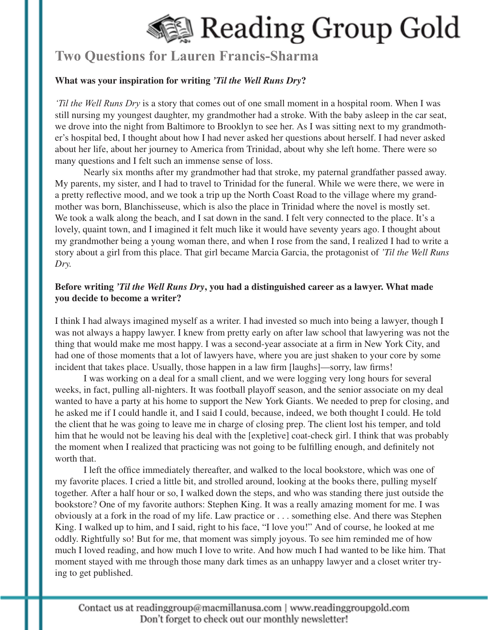

### **Two Questions for Lauren Francis-Sharma**

#### **What was your inspiration for writing** *'Til the Well Runs Dry***?**

*'Til the Well Runs Dry* is a story that comes out of one small moment in a hospital room. When I was still nursing my youngest daughter, my grandmother had a stroke. With the baby asleep in the car seat, we drove into the night from Baltimore to Brooklyn to see her. As I was sitting next to my grandmother's hospital bed, I thought about how I had never asked her questions about herself. I had never asked about her life, about her journey to America from Trinidad, about why she left home. There were so many questions and I felt such an immense sense of loss.

Nearly six months after my grandmother had that stroke, my paternal grandfather passed away. My parents, my sister, and I had to travel to Trinidad for the funeral. While we were there, we were in a pretty reflective mood, and we took a trip up the North Coast Road to the village where my grandmother was born, Blanchisseuse, which is also the place in Trinidad where the novel is mostly set. We took a walk along the beach, and I sat down in the sand. I felt very connected to the place. It's a lovely, quaint town, and I imagined it felt much like it would have seventy years ago. I thought about my grandmother being a young woman there, and when I rose from the sand, I realized I had to write a story about a girl from this place. That girl became Marcia Garcia, the protagonist of *'Til the Well Runs Dry.* 

#### **Before writing** *'Til the Well Runs Dry***, you had a distinguished career as a lawyer. What made you decide to become a writer?**

I think I had always imagined myself as a writer. I had invested so much into being a lawyer, though I was not always a happy lawyer. I knew from pretty early on after law school that lawyering was not the thing that would make me most happy. I was a second-year associate at a firm in New York City, and had one of those moments that a lot of lawyers have, where you are just shaken to your core by some incident that takes place. Usually, those happen in a law firm [laughs]—sorry, law firms!

I was working on a deal for a small client, and we were logging very long hours for several weeks, in fact, pulling all-nighters. It was football playoff season, and the senior associate on my deal wanted to have a party at his home to support the New York Giants. We needed to prep for closing, and he asked me if I could handle it, and I said I could, because, indeed, we both thought I could. He told the client that he was going to leave me in charge of closing prep. The client lost his temper, and told him that he would not be leaving his deal with the [expletive] coat-check girl. I think that was probably the moment when I realized that practicing was not going to be fulfilling enough, and definitely not worth that.

I left the office immediately thereafter, and walked to the local bookstore, which was one of my favorite places. I cried a little bit, and strolled around, looking at the books there, pulling myself together. After a half hour or so, I walked down the steps, and who was standing there just outside the bookstore? One of my favorite authors: Stephen King. It was a really amazing moment for me. I was obviously at a fork in the road of my life. Law practice or . . . something else. And there was Stephen King. I walked up to him, and I said, right to his face, "I love you!" And of course, he looked at me oddly. Rightfully so! But for me, that moment was simply joyous. To see him reminded me of how much I loved reading, and how much I love to write. And how much I had wanted to be like him. That moment stayed with me through those many dark times as an unhappy lawyer and a closet writer trying to get published.

Contact us at readinggroup@macmillanusa.com | www.readinggroupgold.com Don't forget to check out our monthly newsletter!